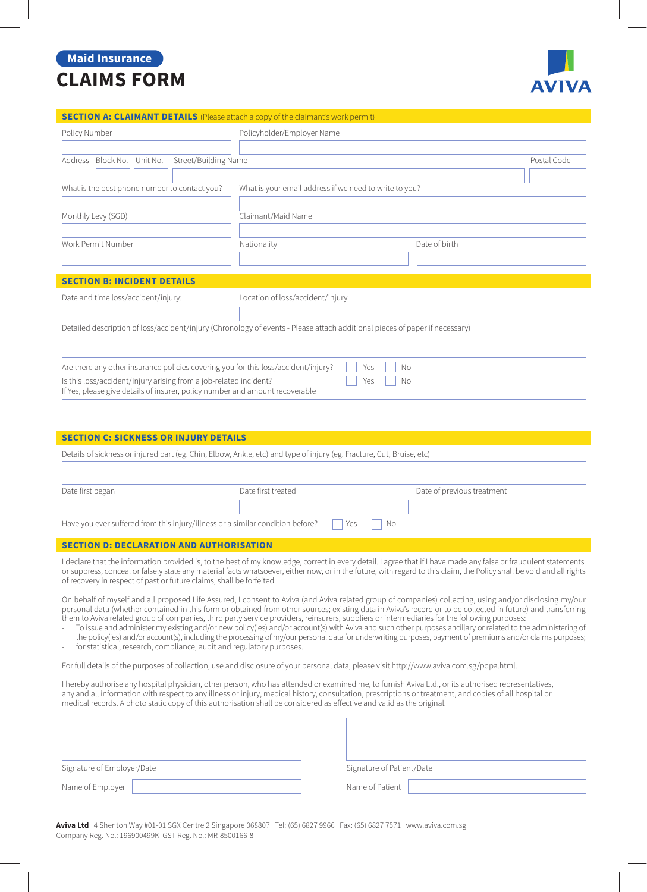## **Maid Insurance CLAIMS FORM**



|  | <b>SECTION A: CLAIMANT DETAILS</b> (Please attach a copy of the claimant's work permit) |
|--|-----------------------------------------------------------------------------------------|
|--|-----------------------------------------------------------------------------------------|

| Policy Number                                                                                                                                                                                                                                                                                                                                                                                                     | Policyholder/Employer Name                                                                                                                              |                            |  |  |
|-------------------------------------------------------------------------------------------------------------------------------------------------------------------------------------------------------------------------------------------------------------------------------------------------------------------------------------------------------------------------------------------------------------------|---------------------------------------------------------------------------------------------------------------------------------------------------------|----------------------------|--|--|
| Address Block No. Unit No.<br>Street/Building Name                                                                                                                                                                                                                                                                                                                                                                |                                                                                                                                                         | Postal Code                |  |  |
| What is the best phone number to contact you?                                                                                                                                                                                                                                                                                                                                                                     | What is your email address if we need to write to you?                                                                                                  |                            |  |  |
|                                                                                                                                                                                                                                                                                                                                                                                                                   |                                                                                                                                                         |                            |  |  |
| Monthly Levy (SGD)                                                                                                                                                                                                                                                                                                                                                                                                | Claimant/Maid Name                                                                                                                                      |                            |  |  |
| Work Permit Number                                                                                                                                                                                                                                                                                                                                                                                                | Nationality                                                                                                                                             | Date of birth              |  |  |
|                                                                                                                                                                                                                                                                                                                                                                                                                   |                                                                                                                                                         |                            |  |  |
| <b>SECTION B: INCIDENT DETAILS</b>                                                                                                                                                                                                                                                                                                                                                                                |                                                                                                                                                         |                            |  |  |
| Date and time loss/accident/injury:<br>Location of loss/accident/injury                                                                                                                                                                                                                                                                                                                                           |                                                                                                                                                         |                            |  |  |
| Detailed description of loss/accident/injury (Chronology of events - Please attach additional pieces of paper if necessary)                                                                                                                                                                                                                                                                                       |                                                                                                                                                         |                            |  |  |
|                                                                                                                                                                                                                                                                                                                                                                                                                   |                                                                                                                                                         |                            |  |  |
| Are there any other insurance policies covering you for this loss/accident/injury?<br>No<br>Yes<br>Is this loss/accident/injury arising from a job-related incident?<br>Yes<br>No<br>If Yes, please give details of insurer, policy number and amount recoverable                                                                                                                                                 |                                                                                                                                                         |                            |  |  |
| <b>SECTION C: SICKNESS OR INJURY DETAILS</b>                                                                                                                                                                                                                                                                                                                                                                      |                                                                                                                                                         |                            |  |  |
|                                                                                                                                                                                                                                                                                                                                                                                                                   | Details of sickness or injured part (eg. Chin, Elbow, Ankle, etc) and type of injury (eg. Fracture, Cut, Bruise, etc)                                   |                            |  |  |
|                                                                                                                                                                                                                                                                                                                                                                                                                   |                                                                                                                                                         |                            |  |  |
| Date first began                                                                                                                                                                                                                                                                                                                                                                                                  | Date first treated                                                                                                                                      | Date of previous treatment |  |  |
| Have you ever suffered from this injury/illness or a similar condition before?                                                                                                                                                                                                                                                                                                                                    | Yes<br>No                                                                                                                                               |                            |  |  |
|                                                                                                                                                                                                                                                                                                                                                                                                                   |                                                                                                                                                         |                            |  |  |
| <b>SECTION D: DECLARATION AND AUTHORISATION</b>                                                                                                                                                                                                                                                                                                                                                                   |                                                                                                                                                         |                            |  |  |
| I declare that the information provided is, to the best of my knowledge, correct in every detail. I agree that if I have made any false or fraudulent statements<br>or suppress, conceal or falsely state any material facts whatsoever, either now, or in the future, with regard to this claim, the Policy shall be void and all rights<br>of recovery in respect of past or future claims, shall be forfeited. |                                                                                                                                                         |                            |  |  |
|                                                                                                                                                                                                                                                                                                                                                                                                                   | On behalf of myself and all proposed Life Assured, I consent to Aviva (and Aviva related group of companies) collecting, using and/or disclosing my/our |                            |  |  |

personal data (whether contained in this form or obtained from other sources; existing data in Aviva's record or to be collected in future) and transferring them to Aviva related group of companies, third party service providers, reinsurers, suppliers or intermediaries for the following purposes:

- To issue and administer my existing and/or new policy(ies) and/or account(s) with Aviva and such other purposes ancillary or related to the administering of the policy(ies) and/or account(s), including the processing of my/our personal data for underwriting purposes, payment of premiums and/or claims purposes;
- for statistical, research, compliance, audit and regulatory purposes.

For full details of the purposes of collection, use and disclosure of your personal data, please visit http://www.aviva.com.sg/pdpa.html.

I hereby authorise any hospital physician, other person, who has attended or examined me, to furnish Aviva Ltd., or its authorised representatives, any and all information with respect to any illness or injury, medical history, consultation, prescriptions or treatment, and copies of all hospital or medical records. A photo static copy of this authorisation shall be considered as effective and valid as the original.

| Signature of Employer/Date | Signature of Patient/Date |
|----------------------------|---------------------------|
| Name of Employer           | Name of Patient           |